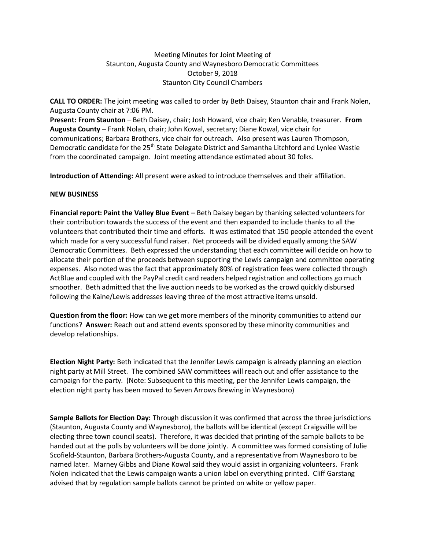## Meeting Minutes for Joint Meeting of Staunton, Augusta County and Waynesboro Democratic Committees October 9, 2018 Staunton City Council Chambers

**CALL TO ORDER:** The joint meeting was called to order by Beth Daisey, Staunton chair and Frank Nolen, Augusta County chair at 7:06 PM.

**Present: From Staunton** – Beth Daisey, chair; Josh Howard, vice chair; Ken Venable, treasurer. **From Augusta County** – Frank Nolan, chair; John Kowal, secretary; Diane Kowal, vice chair for communications; Barbara Brothers, vice chair for outreach. Also present was Lauren Thompson, Democratic candidate for the 25<sup>th</sup> State Delegate District and Samantha Litchford and Lynlee Wastie from the coordinated campaign. Joint meeting attendance estimated about 30 folks.

**Introduction of Attending:** All present were asked to introduce themselves and their affiliation.

## **NEW BUSINESS**

**Financial report: Paint the Valley Blue Event –** Beth Daisey began by thanking selected volunteers for their contribution towards the success of the event and then expanded to include thanks to all the volunteers that contributed their time and efforts. It was estimated that 150 people attended the event which made for a very successful fund raiser. Net proceeds will be divided equally among the SAW Democratic Committees. Beth expressed the understanding that each committee will decide on how to allocate their portion of the proceeds between supporting the Lewis campaign and committee operating expenses. Also noted was the fact that approximately 80% of registration fees were collected through ActBlue and coupled with the PayPal credit card readers helped registration and collections go much smoother. Beth admitted that the live auction needs to be worked as the crowd quickly disbursed following the Kaine/Lewis addresses leaving three of the most attractive items unsold.

**Question from the floor:** How can we get more members of the minority communities to attend our functions? **Answer:** Reach out and attend events sponsored by these minority communities and develop relationships.

**Election Night Party:** Beth indicated that the Jennifer Lewis campaign is already planning an election night party at Mill Street. The combined SAW committees will reach out and offer assistance to the campaign for the party. (Note: Subsequent to this meeting, per the Jennifer Lewis campaign, the election night party has been moved to Seven Arrows Brewing in Waynesboro)

**Sample Ballots for Election Day:** Through discussion it was confirmed that across the three jurisdictions (Staunton, Augusta County and Waynesboro), the ballots will be identical (except Craigsville will be electing three town council seats). Therefore, it was decided that printing of the sample ballots to be handed out at the polls by volunteers will be done jointly. A committee was formed consisting of Julie Scofield-Staunton, Barbara Brothers-Augusta County, and a representative from Waynesboro to be named later. Marney Gibbs and Diane Kowal said they would assist in organizing volunteers. Frank Nolen indicated that the Lewis campaign wants a union label on everything printed. Cliff Garstang advised that by regulation sample ballots cannot be printed on white or yellow paper.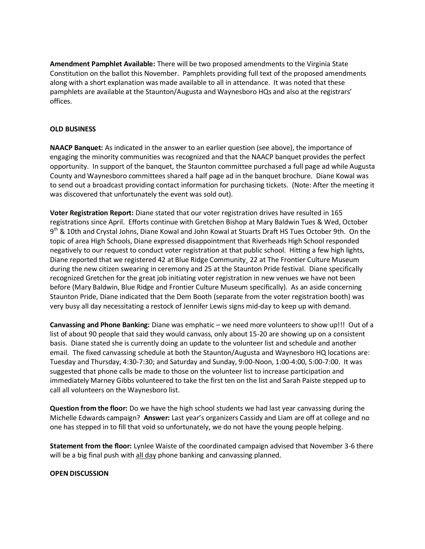**Amendment Pamphlet Available:** There will be two proposed amendments to the Virginia State Constitution on the ballot this November. Pamphlets providing full text of the proposed amendments along with a short explanation was made available to all in attendance. It was noted that these pamphlets are available at the Staunton/Augusta and Waynesboro HQs and also at the registrars' offices.

## **OLD BUSINESS**

**NAACP Banquet:** As indicated in the answer to an earlier question (see above), the importance of engaging the minority communities was recognized and that the NAACP banquet provides the perfect opportunity. In support of the banquet, the Staunton committee purchased a full page ad while Augusta County and Waynesboro committees shared a half page ad in the banquet brochure. Diane Kowal was to send out a broadcast providing contact information for purchasing tickets. (Note: After the meeting it was discovered that unfortunately the event was sold out).

**Voter Registration Report:** Diane stated that our voter registration drives have resulted in 165 registrations since April. Efforts continue with Gretchen Bishop at Mary Baldwin Tues & Wed, October 9<sup>th</sup> & 10th and Crystal Johns, Diane Kowal and John Kowal at Stuarts Draft HS Tues October 9th. On the topic of area High Schools, Diane expressed disappointment that Riverheads High School responded negatively to our request to conduct voter registration at that public school. Hitting a few high lights, Diane reported that we registered 42 at Blue Ridge Community¸ 22 at The Frontier Culture Museum during the new citizen swearing in ceremony and 25 at the Staunton Pride festival. Diane specifically recognized Gretchen for the great job initiating voter registration in new venues we have not been before (Mary Baldwin, Blue Ridge and Frontier Culture Museum specifically). As an aside concerning Staunton Pride, Diane indicated that the Dem Booth (separate from the voter registration booth) was very busy all day necessitating a restock of Jennifer Lewis signs mid-day to keep up with demand.

**Canvassing and Phone Banking:** Diane was emphatic – we need more volunteers to show up!!! Out of a list of about 90 people that said they would canvass, only about 15-20 are showing up on a consistent basis. Diane stated she is currently doing an update to the volunteer list and schedule and another email. The fixed canvassing schedule at both the Staunton/Augusta and Waynesboro HQ locations are: Tuesday and Thursday, 4:30-7:30; and Saturday and Sunday, 9:00-Noon, 1:00-4:00, 5:00-7:00. It was suggested that phone calls be made to those on the volunteer list to increase participation and immediately Marney Gibbs volunteered to take the first ten on the list and Sarah Paiste stepped up to call all volunteers on the Waynesboro list.

**Question from the floor:** Do we have the high school students we had last year canvassing during the Michelle Edwards campaign? **Answer:** Last year's organizers Cassidy and Liam are off at college and no one has stepped in to fill that void so unfortunately, we do not have the young people helping.

**Statement from the floor:** Lynlee Waiste of the coordinated campaign advised that November 3-6 there will be a big final push with all day phone banking and canvassing planned.

## **OPEN DISCUSSION**